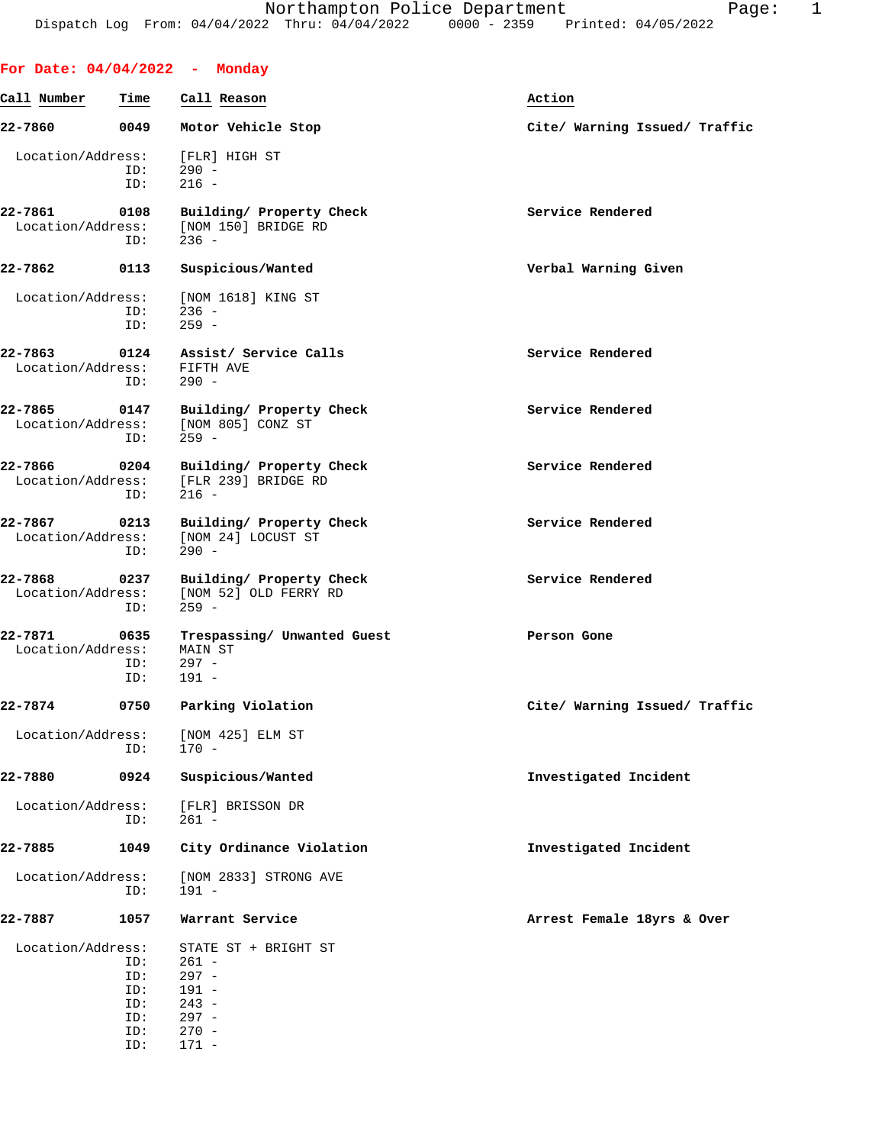|                              |                                        | For Date: 04/04/2022 - Monday                                                          |                               |
|------------------------------|----------------------------------------|----------------------------------------------------------------------------------------|-------------------------------|
| Call Number                  | Time                                   | Call Reason                                                                            | Action                        |
| 22-7860                      |                                        | 0049 Motor Vehicle Stop                                                                | Cite/ Warning Issued/ Traffic |
| Location/Address:            | ID:<br>ID:                             | [FLR] HIGH ST<br>$290 -$<br>$216 -$                                                    |                               |
| 22-7861<br>Location/Address: | 0108<br>ID:                            | Building/ Property Check<br>[NOM 150] BRIDGE RD<br>$236 -$                             | Service Rendered              |
| 22-7862                      | 0113                                   | Suspicious/Wanted                                                                      | Verbal Warning Given          |
| Location/Address:            | ID:<br>ID:                             | [NOM 1618] KING ST<br>$236 -$<br>$259 -$                                               |                               |
| 22-7863<br>Location/Address: | ID:                                    | 0124 Assist/ Service Calls<br>FIFTH AVE<br>$290 -$                                     | Service Rendered              |
| 22-7865<br>Location/Address: | ID:                                    | 0147 Building/ Property Check<br>[NOM 805] CONZ ST<br>$259 -$                          | Service Rendered              |
| 22-7866                      | ID:                                    | 0204 Building/ Property Check<br>Location/Address: [FLR 239] BRIDGE RD<br>$216 -$      | Service Rendered              |
| 22-7867                      | 0213<br>ID:                            | Building/ Property Check<br>Location/Address: [NOM 24] LOCUST ST<br>$290 -$            | Service Rendered              |
| 22-7868<br>Location/Address: | 0237<br>ID:                            | Building/ Property Check<br>[NOM 52] OLD FERRY RD<br>$259 -$                           | Service Rendered              |
| 22-7871<br>Location/Address: | 0635<br>ID:                            | Trespassing/ Unwanted Guest<br>MAIN ST<br>$297 -$                                      | Person Gone                   |
|                              | ID:                                    | $191 -$                                                                                |                               |
| 22-7874                      | 0750                                   | Parking Violation                                                                      | Cite/ Warning Issued/ Traffic |
| Location/Address:            | ID:                                    | [NOM 425] ELM ST<br>$170 -$                                                            |                               |
| 22-7880                      | 0924                                   | Suspicious/Wanted                                                                      | Investigated Incident         |
| Location/Address:            | ID:                                    | [FLR] BRISSON DR<br>$261 -$                                                            |                               |
| 22-7885                      | 1049                                   | City Ordinance Violation                                                               | Investigated Incident         |
| Location/Address:            | ID:                                    | [NOM 2833] STRONG AVE<br>$191 -$                                                       |                               |
| 22-7887                      | 1057                                   | Warrant Service                                                                        | Arrest Female 18yrs & Over    |
| Location/Address:            | ID:<br>ID:<br>ID:<br>ID:<br>ID:<br>ID: | STATE ST + BRIGHT ST<br>$261 -$<br>$297 -$<br>$191 -$<br>$243 -$<br>$297 -$<br>$270 -$ |                               |
|                              | ID:                                    | $171 -$                                                                                |                               |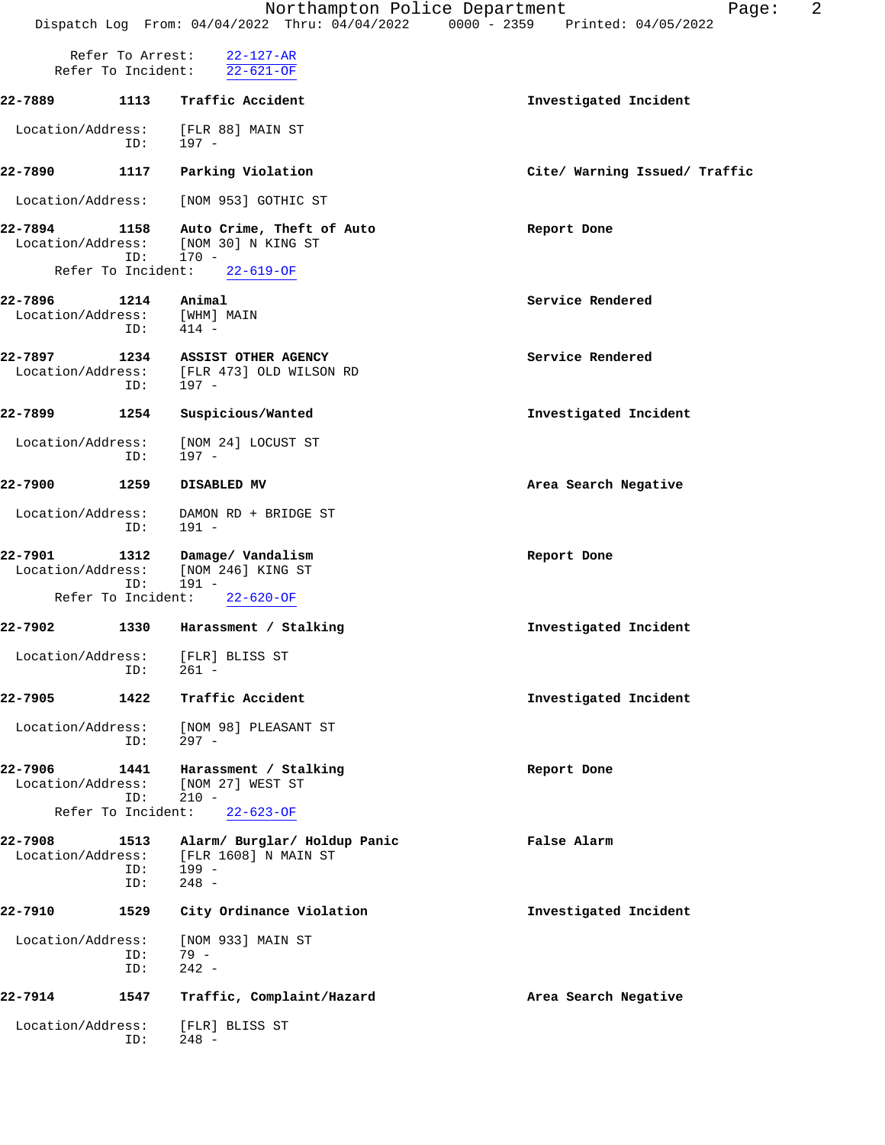|                              |                                        | Northampton Police Department<br>Dispatch Log From: 04/04/2022 Thru: 04/04/2022 0000 - 2359 Printed: 04/05/2022 | 2<br>Page:                    |
|------------------------------|----------------------------------------|-----------------------------------------------------------------------------------------------------------------|-------------------------------|
|                              | Refer To Arrest:<br>Refer To Incident: | $22 - 127 - AR$<br>$22 - 621 - OF$                                                                              |                               |
| 22-7889                      | 1113                                   | Traffic Accident                                                                                                | Investigated Incident         |
| Location/Address:            | ID:                                    | [FLR 88] MAIN ST<br>197 -                                                                                       |                               |
| 22-7890                      | 1117                                   | Parking Violation                                                                                               | Cite/ Warning Issued/ Traffic |
| Location/Address:            |                                        | [NOM 953] GOTHIC ST                                                                                             |                               |
| 22-7894<br>Location/Address: | 1158<br>ID:                            | Auto Crime, Theft of Auto<br>[NOM 30] N KING ST<br>170 -                                                        | Report Done                   |
| Refer To Incident:           |                                        | $22 - 619 - OF$                                                                                                 |                               |
| 22-7896<br>Location/Address: | 1214<br>ID:                            | Animal<br>[WHM] MAIN<br>414 -                                                                                   | Service Rendered              |
| 22-7897<br>Location/Address: | 1234<br>ID:                            | ASSIST OTHER AGENCY<br>[FLR 473] OLD WILSON RD<br>$197 -$                                                       | Service Rendered              |
| 22-7899                      | 1254                                   | Suspicious/Wanted                                                                                               | Investigated Incident         |
| Location/Address:            | ID:                                    | [NOM 24] LOCUST ST<br>$197 -$                                                                                   |                               |
| 22-7900                      | 1259                                   | DISABLED MV                                                                                                     | Area Search Negative          |
| Location/Address:            | ID:                                    | DAMON RD + BRIDGE ST<br>$191 -$                                                                                 |                               |
| 22-7901<br>Location/Address: | 1312<br>ID:                            | Damage/ Vandalism<br>[NOM 246] KING ST<br>191 -                                                                 | Report Done                   |
| Refer To Incident:           |                                        | $22 - 620 - OF$                                                                                                 |                               |
| 22-7902                      | 1330                                   | Harassment / Stalking                                                                                           | Investigated Incident         |
| Location/Address:            | ID:                                    | [FLR] BLISS ST<br>$261 -$                                                                                       |                               |
| 22-7905                      | 1422                                   | Traffic Accident                                                                                                | Investigated Incident         |
| Location/Address:            | ID:                                    | [NOM 98] PLEASANT ST<br>$297 -$                                                                                 |                               |
| 22-7906<br>Location/Address: | 1441<br>ID:                            | Harassment / Stalking<br>[NOM 27] WEST ST<br>$210 -$                                                            | Report Done                   |
|                              | Refer To Incident:                     | $22 - 623 - OF$                                                                                                 |                               |
| 22-7908<br>Location/Address: | 1513<br>ID:<br>ID:                     | Alarm/ Burglar/ Holdup Panic<br>[FLR 1608] N MAIN ST<br>199 -<br>$248 -$                                        | False Alarm                   |
| 22-7910                      | 1529                                   | City Ordinance Violation                                                                                        | Investigated Incident         |
| Location/Address:            | ID:<br>ID:                             | [NOM 933] MAIN ST<br>$79 -$<br>$242 -$                                                                          |                               |
| 22-7914                      | 1547                                   | Traffic, Complaint/Hazard                                                                                       | Area Search Negative          |
| Location/Address:            | ID:                                    | [FLR] BLISS ST<br>$248 -$                                                                                       |                               |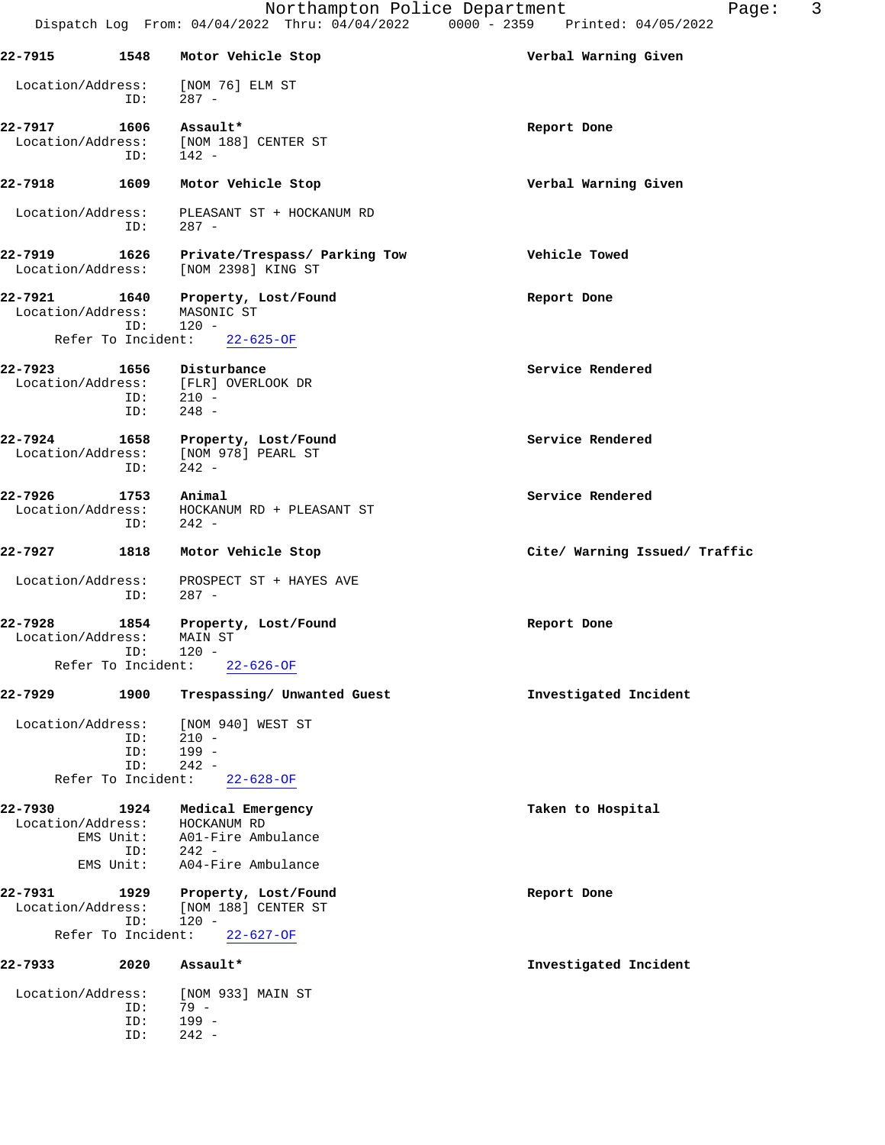|                              |                    | Northampton Police Department<br>Dispatch Log From: 04/04/2022 Thru: 04/04/2022 0000 - 2359 Printed: 04/05/2022 | 3<br>Page:                    |
|------------------------------|--------------------|-----------------------------------------------------------------------------------------------------------------|-------------------------------|
| 22-7915                      | 1548               | Motor Vehicle Stop                                                                                              | Verbal Warning Given          |
| Location/Address:            | ID:                | [NOM 76] ELM ST<br>$287 -$                                                                                      |                               |
| 22-7917                      | 1606               | Assault*                                                                                                        | Report Done                   |
| Location/Address:            | ID:                | [NOM 188] CENTER ST<br>$142 -$                                                                                  |                               |
| 22-7918                      | 1609               | Motor Vehicle Stop                                                                                              | Verbal Warning Given          |
| Location/Address:            | ID:                | PLEASANT ST + HOCKANUM RD<br>$287 -$                                                                            |                               |
| 22-7919<br>Location/Address: | 1626               | Private/Trespass/ Parking Tow<br>[NOM 2398] KING ST                                                             | Vehicle Towed                 |
| 22-7921<br>Location/Address: | 1640<br>ID:        | Property, Lost/Found<br>MASONIC ST<br>120 -                                                                     | Report Done                   |
|                              | Refer To Incident: | $22 - 625 - OF$                                                                                                 |                               |
| 22-7923<br>Location/Address: | 1656<br>ID:<br>ID: | Disturbance<br>[FLR] OVERLOOK DR<br>$210 -$<br>$248 -$                                                          | Service Rendered              |
| 22-7924<br>Location/Address: | 1658<br>ID:        | Property, Lost/Found<br>[NOM 978] PEARL ST<br>$242 -$                                                           | Service Rendered              |
| 22-7926<br>Location/Address: | 1753<br>ID:        | Animal<br>HOCKANUM RD + PLEASANT ST<br>$242 -$                                                                  | Service Rendered              |
| 22-7927                      | 1818               | Motor Vehicle Stop                                                                                              | Cite/ Warning Issued/ Traffic |
| Location/Address:            | ID:                | PROSPECT ST + HAYES AVE<br>$287 -$                                                                              |                               |
| 22-7928<br>Location/Address: | 1854<br>ID:        | Property, Lost/Found<br>MAIN ST<br>$120 -$                                                                      | Report Done                   |
|                              | Refer To Incident: | $22 - 626 - OF$                                                                                                 |                               |
| 22-7929                      | 1900               | Trespassing/ Unwanted Guest                                                                                     | Investigated Incident         |
| Location/Address:            | ID:                | [NOM 940] WEST ST<br>$210 -$                                                                                    |                               |
|                              | ID:<br>ID:         | $199 -$<br>$242 -$                                                                                              |                               |
|                              | Refer To Incident: | $22 - 628 - OF$                                                                                                 |                               |
| 22-7930<br>Location/Address: | 1924               | Medical Emergency<br>HOCKANUM RD                                                                                | Taken to Hospital             |
|                              | EMS Unit:          | A01-Fire Ambulance                                                                                              |                               |
|                              | ID:<br>EMS Unit:   | $242 -$<br>A04-Fire Ambulance                                                                                   |                               |
| 22-7931                      | 1929               | Property, Lost/Found                                                                                            | Report Done                   |
| Location/Address:            | ID:                | [NOM 188] CENTER ST<br>$120 -$                                                                                  |                               |
|                              | Refer To Incident: | $22 - 627 - OF$                                                                                                 |                               |
| 22-7933                      | 2020               | Assault*                                                                                                        | Investigated Incident         |
| Location/Address:            | ID:                | [NOM 933] MAIN ST<br>79 -                                                                                       |                               |
|                              | ID:                | 199 -                                                                                                           |                               |
|                              | ID:                | $242 -$                                                                                                         |                               |